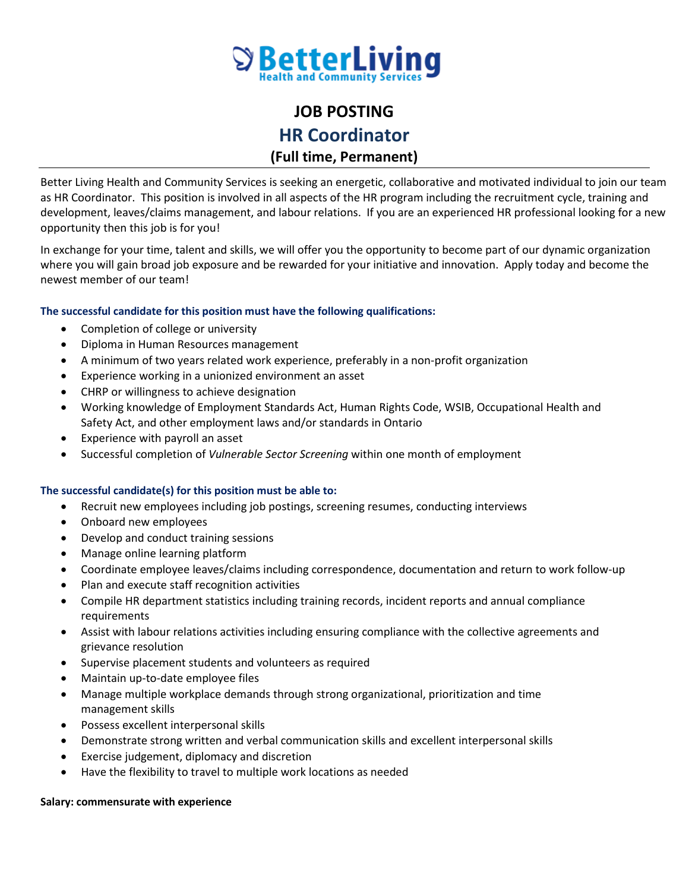

# **JOB POSTING HR Coordinator (Full time, Permanent)**

Better Living Health and Community Services is seeking an energetic, collaborative and motivated individual to join our team as HR Coordinator. This position is involved in all aspects of the HR program including the recruitment cycle, training and development, leaves/claims management, and labour relations. If you are an experienced HR professional looking for a new opportunity then this job is for you!

In exchange for your time, talent and skills, we will offer you the opportunity to become part of our dynamic organization where you will gain broad job exposure and be rewarded for your initiative and innovation. Apply today and become the newest member of our team!

## **The successful candidate for this position must have the following qualifications:**

- Completion of college or university
- Diploma in Human Resources management
- A minimum of two years related work experience, preferably in a non-profit organization
- Experience working in a unionized environment an asset
- CHRP or willingness to achieve designation
- Working knowledge of Employment Standards Act, Human Rights Code, WSIB, Occupational Health and Safety Act, and other employment laws and/or standards in Ontario
- Experience with payroll an asset
- Successful completion of *Vulnerable Sector Screening* within one month of employment

#### **The successful candidate(s) for this position must be able to:**

- Recruit new employees including job postings, screening resumes, conducting interviews
- Onboard new employees
- Develop and conduct training sessions
- Manage online learning platform
- Coordinate employee leaves/claims including correspondence, documentation and return to work follow-up
- Plan and execute staff recognition activities
- Compile HR department statistics including training records, incident reports and annual compliance requirements
- Assist with labour relations activities including ensuring compliance with the collective agreements and grievance resolution
- Supervise placement students and volunteers as required
- Maintain up-to-date employee files
- Manage multiple workplace demands through strong organizational, prioritization and time management skills
- Possess excellent interpersonal skills
- Demonstrate strong written and verbal communication skills and excellent interpersonal skills
- Exercise judgement, diplomacy and discretion
- Have the flexibility to travel to multiple work locations as needed

#### **Salary: commensurate with experience**